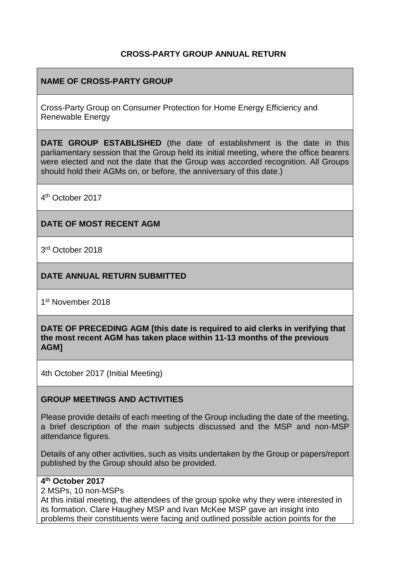#### **CROSS-PARTY GROUP ANNUAL RETURN**

## **NAME OF CROSS-PARTY GROUP**

Cross-Party Group on Consumer Protection for Home Energy Efficiency and Renewable Energy

**DATE GROUP ESTABLISHED** (the date of establishment is the date in this parliamentary session that the Group held its initial meeting, where the office bearers were elected and not the date that the Group was accorded recognition. All Groups should hold their AGMs on, or before, the anniversary of this date.)

4 th October 2017

#### **DATE OF MOST RECENT AGM**

3 rd October 2018

#### **DATE ANNUAL RETURN SUBMITTED**

1st November 2018

**DATE OF PRECEDING AGM [this date is required to aid clerks in verifying that the most recent AGM has taken place within 11-13 months of the previous AGM]**

4th October 2017 (Initial Meeting)

#### **GROUP MEETINGS AND ACTIVITIES**

Please provide details of each meeting of the Group including the date of the meeting, a brief description of the main subjects discussed and the MSP and non-MSP attendance figures.

Details of any other activities, such as visits undertaken by the Group or papers/report published by the Group should also be provided.

#### **4 th October 2017**

2 MSPs, 10 non-MSPs

At this initial meeting, the attendees of the group spoke why they were interested in its formation. Clare Haughey MSP and Ivan McKee MSP gave an insight into problems their constituents were facing and outlined possible action points for the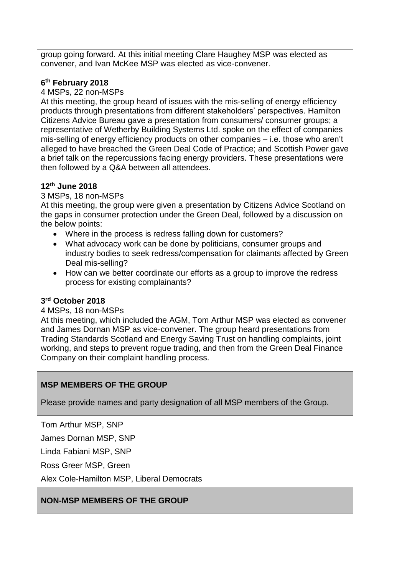group going forward. At this initial meeting Clare Haughey MSP was elected as convener, and Ivan McKee MSP was elected as vice-convener.

### **6 th February 2018**

4 MSPs, 22 non-MSPs

At this meeting, the group heard of issues with the mis-selling of energy efficiency products through presentations from different stakeholders' perspectives. Hamilton Citizens Advice Bureau gave a presentation from consumers/ consumer groups; a representative of Wetherby Building Systems Ltd. spoke on the effect of companies mis-selling of energy efficiency products on other companies – i.e. those who aren't alleged to have breached the Green Deal Code of Practice; and Scottish Power gave a brief talk on the repercussions facing energy providers. These presentations were then followed by a Q&A between all attendees.

## **12th June 2018**

#### 3 MSPs, 18 non-MSPs

At this meeting, the group were given a presentation by Citizens Advice Scotland on the gaps in consumer protection under the Green Deal, followed by a discussion on the below points:

- Where in the process is redress falling down for customers?
- What advocacy work can be done by politicians, consumer groups and industry bodies to seek redress/compensation for claimants affected by Green Deal mis-selling?
- How can we better coordinate our efforts as a group to improve the redress process for existing complainants?

#### **3 rd October 2018**

#### 4 MSPs, 18 non-MSPs

At this meeting, which included the AGM, Tom Arthur MSP was elected as convener and James Dornan MSP as vice-convener. The group heard presentations from Trading Standards Scotland and Energy Saving Trust on handling complaints, joint working, and steps to prevent rogue trading, and then from the Green Deal Finance Company on their complaint handling process.

#### **MSP MEMBERS OF THE GROUP**

Please provide names and party designation of all MSP members of the Group.

Tom Arthur MSP, SNP

James Dornan MSP, SNP

Linda Fabiani MSP, SNP

Ross Greer MSP, Green

Alex Cole-Hamilton MSP, Liberal Democrats

#### **NON-MSP MEMBERS OF THE GROUP**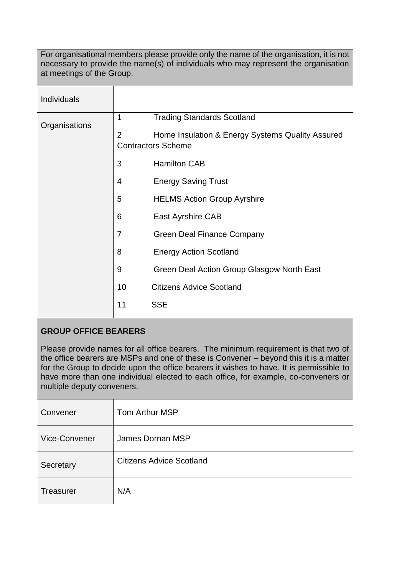For organisational members please provide only the name of the organisation, it is not necessary to provide the name(s) of individuals who may represent the organisation at meetings of the Group.

| Individuals   |                |                                                                               |
|---------------|----------------|-------------------------------------------------------------------------------|
| Organisations | 1              | <b>Trading Standards Scotland</b>                                             |
|               | $\overline{2}$ | Home Insulation & Energy Systems Quality Assured<br><b>Contractors Scheme</b> |
|               | 3              | <b>Hamilton CAB</b>                                                           |
|               | 4              | <b>Energy Saving Trust</b>                                                    |
|               | 5              | <b>HELMS Action Group Ayrshire</b>                                            |
|               | 6              | East Ayrshire CAB                                                             |
|               | 7              | <b>Green Deal Finance Company</b>                                             |
|               | 8              | <b>Energy Action Scotland</b>                                                 |
|               | 9              | Green Deal Action Group Glasgow North East                                    |
|               | 10             | <b>Citizens Advice Scotland</b>                                               |
|               | 11             | <b>SSE</b>                                                                    |

#### **GROUP OFFICE BEARERS**

Please provide names for all office bearers. The minimum requirement is that two of the office bearers are MSPs and one of these is Convener – beyond this it is a matter for the Group to decide upon the office bearers it wishes to have. It is permissible to have more than one individual elected to each office, for example, co-conveners or multiple deputy conveners.

| Convener      | Tom Arthur MSP                  |  |
|---------------|---------------------------------|--|
| Vice-Convener | James Dornan MSP                |  |
| Secretary     | <b>Citizens Advice Scotland</b> |  |
| Treasurer     | N/A                             |  |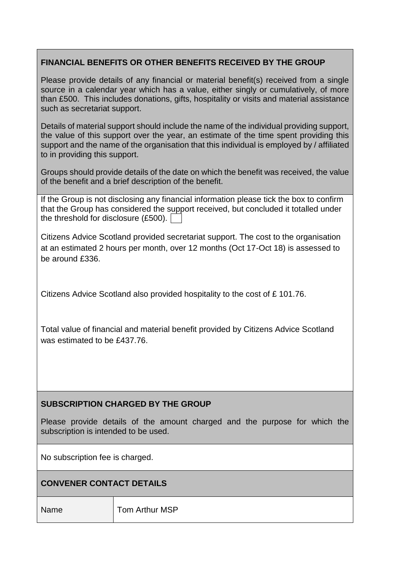# **FINANCIAL BENEFITS OR OTHER BENEFITS RECEIVED BY THE GROUP**

Please provide details of any financial or material benefit(s) received from a single source in a calendar year which has a value, either singly or cumulatively, of more than £500. This includes donations, gifts, hospitality or visits and material assistance such as secretariat support.

Details of material support should include the name of the individual providing support, the value of this support over the year, an estimate of the time spent providing this support and the name of the organisation that this individual is employed by / affiliated to in providing this support.

Groups should provide details of the date on which the benefit was received, the value of the benefit and a brief description of the benefit.

| If the Group is not disclosing any financial information please tick the box to confirm |
|-----------------------------------------------------------------------------------------|
| that the Group has considered the support received, but concluded it totalled under     |
| the threshold for disclosure $(E500)$ .                                                 |

Citizens Advice Scotland provided secretariat support. The cost to the organisation at an estimated 2 hours per month, over 12 months (Oct 17-Oct 18) is assessed to be around £336.

Citizens Advice Scotland also provided hospitality to the cost of £ 101.76.

Total value of financial and material benefit provided by Citizens Advice Scotland was estimated to be £437.76.

# **SUBSCRIPTION CHARGED BY THE GROUP**

Please provide details of the amount charged and the purpose for which the subscription is intended to be used.

No subscription fee is charged.

#### **CONVENER CONTACT DETAILS**

Name **Tom Arthur MSP**